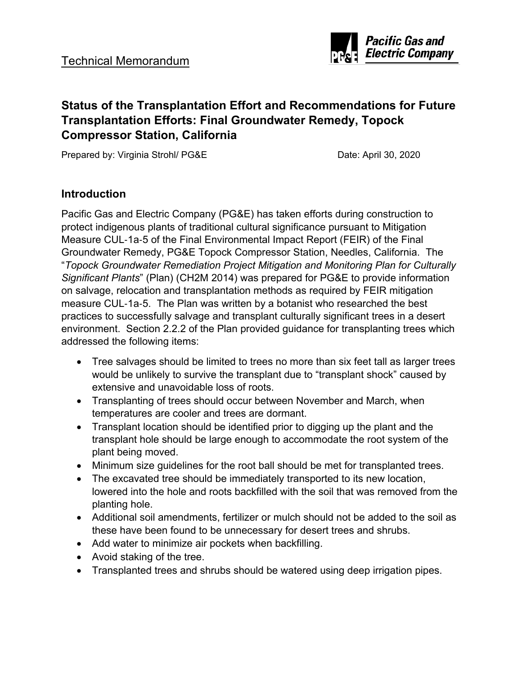

# **Status of the Transplantation Effort and Recommendations for Future Transplantation Efforts: Final Groundwater Remedy, Topock Compressor Station, California**

Prepared by: Virginia Strohl/ PG&E Date: April 30, 2020

#### **Introduction**

Pacific Gas and Electric Company (PG&E) has taken efforts during construction to protect indigenous plants of traditional cultural significance pursuant to Mitigation Measure CUL‐1a‐5 of the Final Environmental Impact Report (FEIR) of the Final Groundwater Remedy, PG&E Topock Compressor Station, Needles, California. The "*Topock Groundwater Remediation Project Mitigation and Monitoring Plan for Culturally Significant Plants*" (Plan) (CH2M 2014) was prepared for PG&E to provide information on salvage, relocation and transplantation methods as required by FEIR mitigation measure CUL‐1a‐5. The Plan was written by a botanist who researched the best practices to successfully salvage and transplant culturally significant trees in a desert environment. Section 2.2.2 of the Plan provided guidance for transplanting trees which addressed the following items:

- Tree salvages should be limited to trees no more than six feet tall as larger trees would be unlikely to survive the transplant due to "transplant shock" caused by extensive and unavoidable loss of roots.
- Transplanting of trees should occur between November and March, when temperatures are cooler and trees are dormant.
- Transplant location should be identified prior to digging up the plant and the transplant hole should be large enough to accommodate the root system of the plant being moved.
- Minimum size guidelines for the root ball should be met for transplanted trees.
- The excavated tree should be immediately transported to its new location, lowered into the hole and roots backfilled with the soil that was removed from the planting hole.
- Additional soil amendments, fertilizer or mulch should not be added to the soil as these have been found to be unnecessary for desert trees and shrubs.
- Add water to minimize air pockets when backfilling.
- Avoid staking of the tree.
- Transplanted trees and shrubs should be watered using deep irrigation pipes.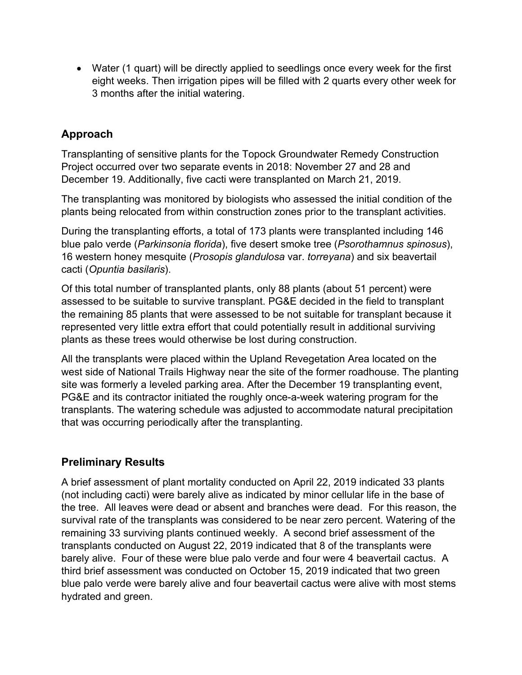• Water (1 quart) will be directly applied to seedlings once every week for the first eight weeks. Then irrigation pipes will be filled with 2 quarts every other week for 3 months after the initial watering.

# **Approach**

Transplanting of sensitive plants for the Topock Groundwater Remedy Construction Project occurred over two separate events in 2018: November 27 and 28 and December 19. Additionally, five cacti were transplanted on March 21, 2019.

The transplanting was monitored by biologists who assessed the initial condition of the plants being relocated from within construction zones prior to the transplant activities.

During the transplanting efforts, a total of 173 plants were transplanted including 146 blue palo verde (*Parkinsonia florida*), five desert smoke tree (*Psorothamnus spinosus*), 16 western honey mesquite (*Prosopis glandulosa* var. *torreyana*) and six beavertail cacti (*Opuntia basilaris*).

Of this total number of transplanted plants, only 88 plants (about 51 percent) were assessed to be suitable to survive transplant. PG&E decided in the field to transplant the remaining 85 plants that were assessed to be not suitable for transplant because it represented very little extra effort that could potentially result in additional surviving plants as these trees would otherwise be lost during construction.

All the transplants were placed within the Upland Revegetation Area located on the west side of National Trails Highway near the site of the former roadhouse. The planting site was formerly a leveled parking area. After the December 19 transplanting event, PG&E and its contractor initiated the roughly once-a-week watering program for the transplants. The watering schedule was adjusted to accommodate natural precipitation that was occurring periodically after the transplanting.

### **Preliminary Results**

A brief assessment of plant mortality conducted on April 22, 2019 indicated 33 plants (not including cacti) were barely alive as indicated by minor cellular life in the base of the tree. All leaves were dead or absent and branches were dead. For this reason, the survival rate of the transplants was considered to be near zero percent. Watering of the remaining 33 surviving plants continued weekly. A second brief assessment of the transplants conducted on August 22, 2019 indicated that 8 of the transplants were barely alive. Four of these were blue palo verde and four were 4 beavertail cactus. A third brief assessment was conducted on October 15, 2019 indicated that two green blue palo verde were barely alive and four beavertail cactus were alive with most stems hydrated and green.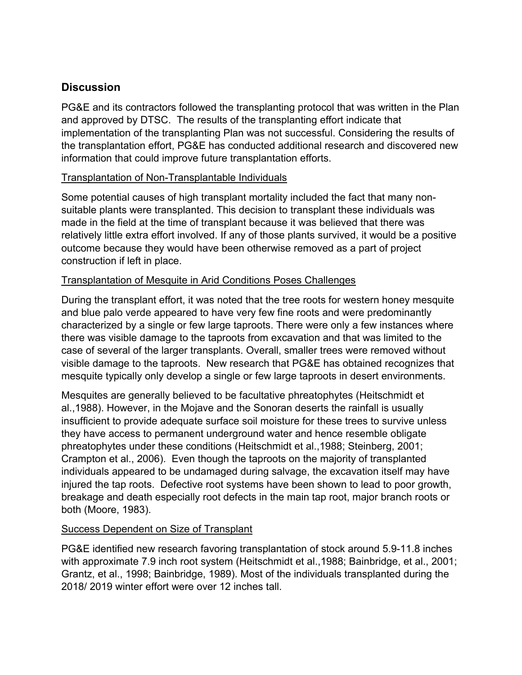# **Discussion**

PG&E and its contractors followed the transplanting protocol that was written in the Plan and approved by DTSC. The results of the transplanting effort indicate that implementation of the transplanting Plan was not successful. Considering the results of the transplantation effort, PG&E has conducted additional research and discovered new information that could improve future transplantation efforts.

#### Transplantation of Non-Transplantable Individuals

Some potential causes of high transplant mortality included the fact that many nonsuitable plants were transplanted. This decision to transplant these individuals was made in the field at the time of transplant because it was believed that there was relatively little extra effort involved. If any of those plants survived, it would be a positive outcome because they would have been otherwise removed as a part of project construction if left in place.

#### Transplantation of Mesquite in Arid Conditions Poses Challenges

During the transplant effort, it was noted that the tree roots for western honey mesquite and blue palo verde appeared to have very few fine roots and were predominantly characterized by a single or few large taproots. There were only a few instances where there was visible damage to the taproots from excavation and that was limited to the case of several of the larger transplants. Overall, smaller trees were removed without visible damage to the taproots. New research that PG&E has obtained recognizes that mesquite typically only develop a single or few large taproots in desert environments.

Mesquites are generally believed to be facultative phreatophytes (Heitschmidt et al.,1988). However, in the Mojave and the Sonoran deserts the rainfall is usually insufficient to provide adequate surface soil moisture for these trees to survive unless they have access to permanent underground water and hence resemble obligate phreatophytes under these conditions (Heitschmidt et al.,1988; Steinberg, 2001; Crampton et al., 2006). Even though the taproots on the majority of transplanted individuals appeared to be undamaged during salvage, the excavation itself may have injured the tap roots. Defective root systems have been shown to lead to poor growth, breakage and death especially root defects in the main tap root, major branch roots or both (Moore, 1983).

#### Success Dependent on Size of Transplant

PG&E identified new research favoring transplantation of stock around 5.9-11.8 inches with approximate 7.9 inch root system (Heitschmidt et al.,1988; Bainbridge, et al., 2001; Grantz, et al., 1998; Bainbridge, 1989). Most of the individuals transplanted during the 2018/ 2019 winter effort were over 12 inches tall.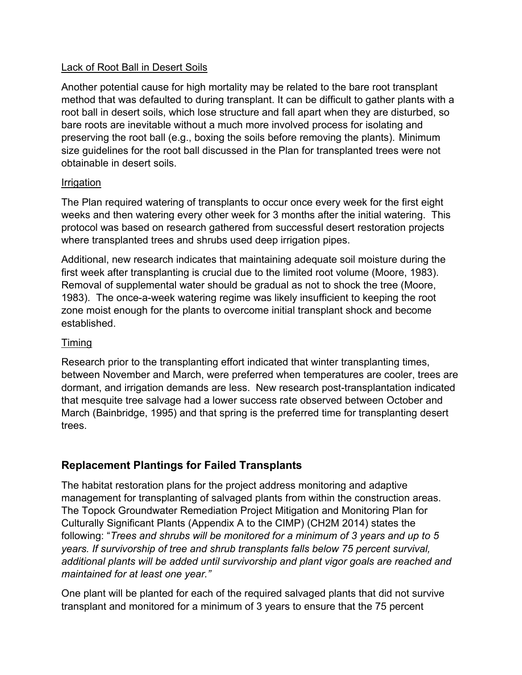#### Lack of Root Ball in Desert Soils

Another potential cause for high mortality may be related to the bare root transplant method that was defaulted to during transplant. It can be difficult to gather plants with a root ball in desert soils, which lose structure and fall apart when they are disturbed, so bare roots are inevitable without a much more involved process for isolating and preserving the root ball (e.g., boxing the soils before removing the plants). Minimum size guidelines for the root ball discussed in the Plan for transplanted trees were not obtainable in desert soils.

#### **Irrigation**

The Plan required watering of transplants to occur once every week for the first eight weeks and then watering every other week for 3 months after the initial watering. This protocol was based on research gathered from successful desert restoration projects where transplanted trees and shrubs used deep irrigation pipes.

Additional, new research indicates that maintaining adequate soil moisture during the first week after transplanting is crucial due to the limited root volume (Moore, 1983). Removal of supplemental water should be gradual as not to shock the tree (Moore, 1983). The once-a-week watering regime was likely insufficient to keeping the root zone moist enough for the plants to overcome initial transplant shock and become established.

### Timing

Research prior to the transplanting effort indicated that winter transplanting times, between November and March, were preferred when temperatures are cooler, trees are dormant, and irrigation demands are less. New research post-transplantation indicated that mesquite tree salvage had a lower success rate observed between October and March (Bainbridge, 1995) and that spring is the preferred time for transplanting desert trees.

# **Replacement Plantings for Failed Transplants**

The habitat restoration plans for the project address monitoring and adaptive management for transplanting of salvaged plants from within the construction areas. The Topock Groundwater Remediation Project Mitigation and Monitoring Plan for Culturally Significant Plants (Appendix A to the CIMP) (CH2M 2014) states the following: "*Trees and shrubs will be monitored for a minimum of 3 years and up to 5 years. If survivorship of tree and shrub transplants falls below 75 percent survival, additional plants will be added until survivorship and plant vigor goals are reached and maintained for at least one year."*

One plant will be planted for each of the required salvaged plants that did not survive transplant and monitored for a minimum of 3 years to ensure that the 75 percent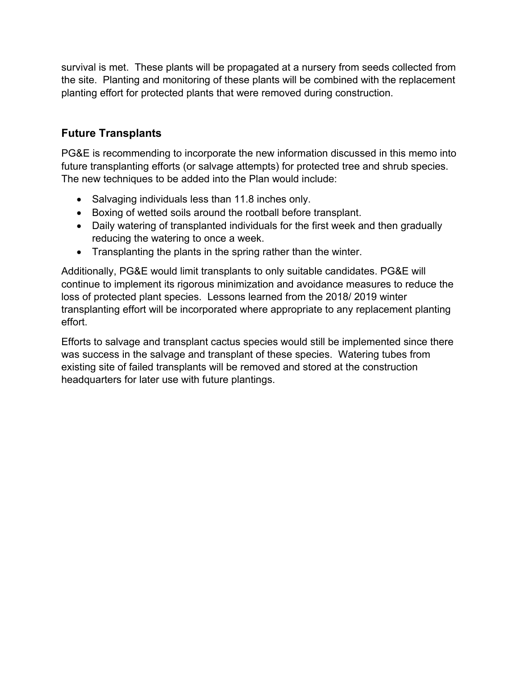survival is met. These plants will be propagated at a nursery from seeds collected from the site. Planting and monitoring of these plants will be combined with the replacement planting effort for protected plants that were removed during construction.

# **Future Transplants**

PG&E is recommending to incorporate the new information discussed in this memo into future transplanting efforts (or salvage attempts) for protected tree and shrub species. The new techniques to be added into the Plan would include:

- Salvaging individuals less than 11.8 inches only.
- Boxing of wetted soils around the rootball before transplant.
- Daily watering of transplanted individuals for the first week and then gradually reducing the watering to once a week.
- Transplanting the plants in the spring rather than the winter.

Additionally, PG&E would limit transplants to only suitable candidates. PG&E will continue to implement its rigorous minimization and avoidance measures to reduce the loss of protected plant species. Lessons learned from the 2018/ 2019 winter transplanting effort will be incorporated where appropriate to any replacement planting effort.

Efforts to salvage and transplant cactus species would still be implemented since there was success in the salvage and transplant of these species. Watering tubes from existing site of failed transplants will be removed and stored at the construction headquarters for later use with future plantings.